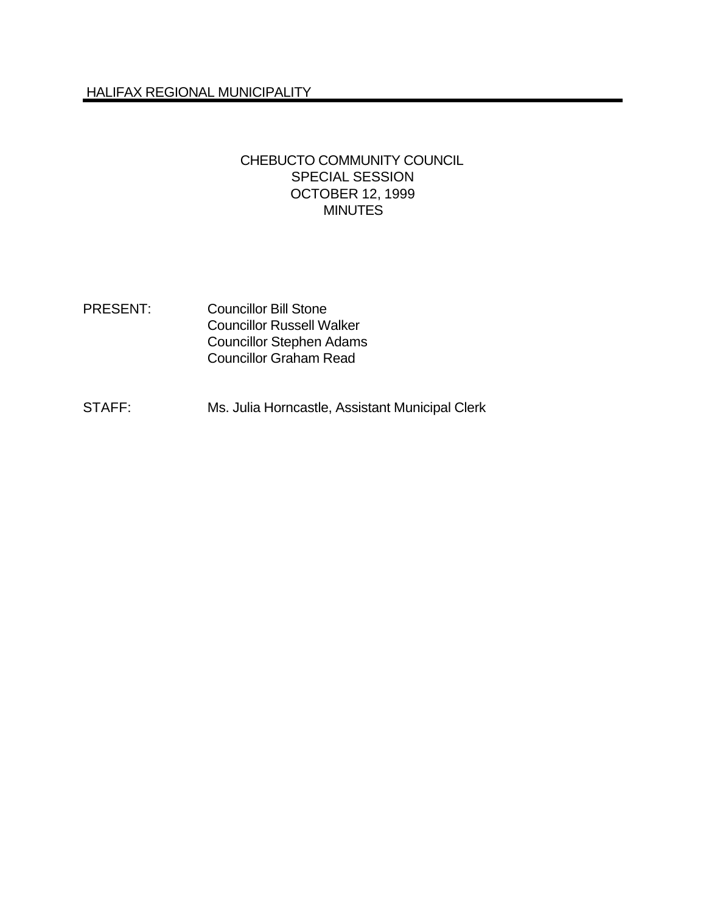### CHEBUCTO COMMUNITY COUNCIL SPECIAL SESSION OCTOBER 12, 1999 **MINUTES**

- PRESENT: Councillor Bill Stone Councillor Russell Walker Councillor Stephen Adams Councillor Graham Read
- STAFF: Ms. Julia Horncastle, Assistant Municipal Clerk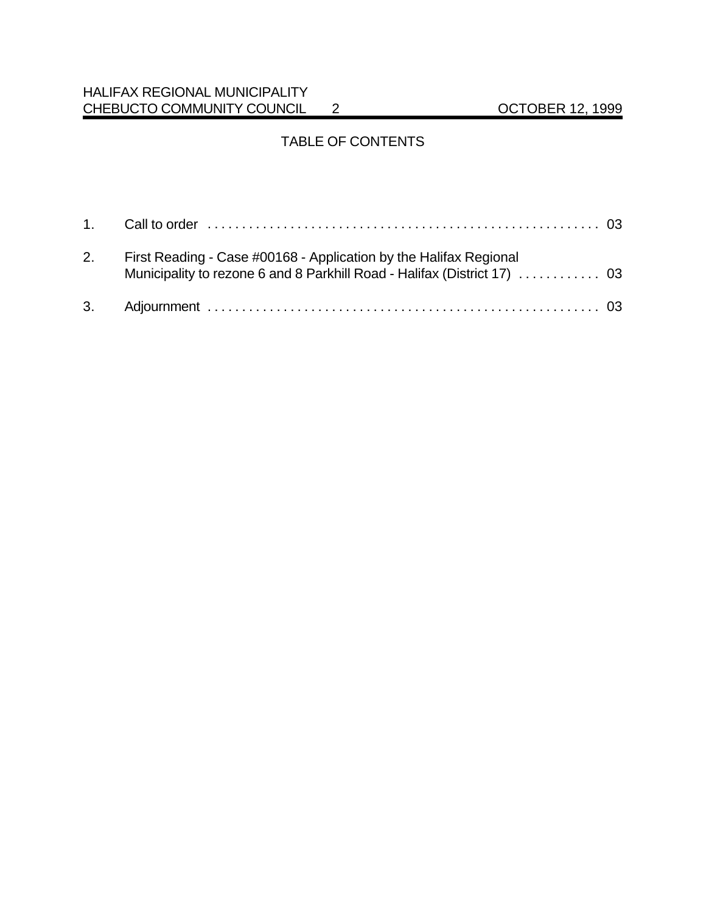## HALIFAX REGIONAL MUNICIPALITY CHEBUCTO COMMUNITY COUNCIL 2 OCTOBER 12, 1999

# TABLE OF CONTENTS

| 2. First Reading - Case #00168 - Application by the Halifax Regional |  |
|----------------------------------------------------------------------|--|
|                                                                      |  |